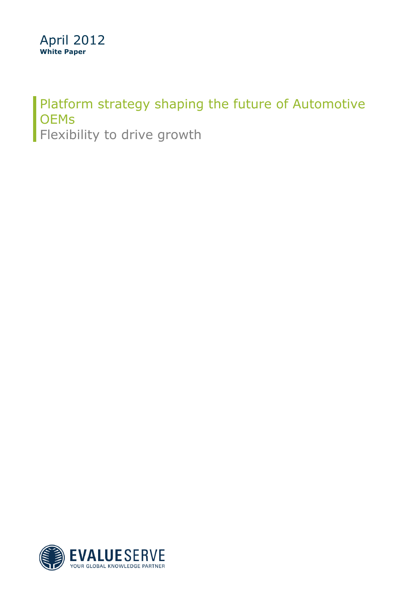### Platform strategy shaping the future of Automotive **OEMs** Flexibility to drive growth

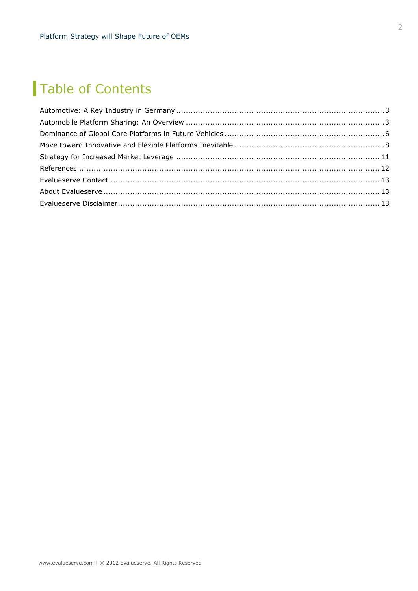# Table of Contents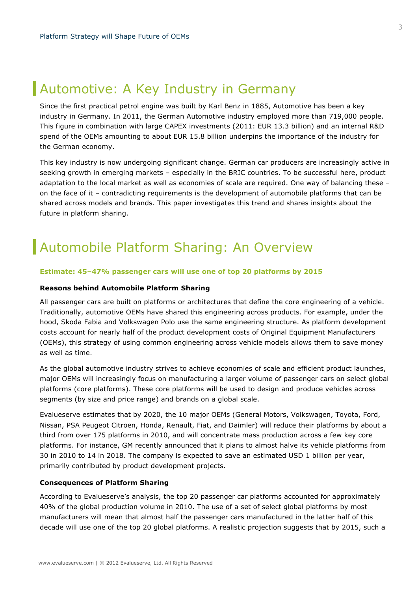## Automotive: A Key Industry in Germany

Since the first practical petrol engine was built by Karl Benz in 1885, Automotive has been a key industry in Germany. In 2011, the German Automotive industry employed more than 719,000 people. This figure in combination with large CAPEX investments (2011: EUR 13.3 billion) and an internal R&D spend of the OEMs amounting to about EUR 15.8 billion underpins the importance of the industry for the German economy.

This key industry is now undergoing significant change. German car producers are increasingly active in seeking growth in emerging markets – especially in the BRIC countries. To be successful here, product adaptation to the local market as well as economies of scale are required. One way of balancing these – on the face of it – contradicting requirements is the development of automobile platforms that can be shared across models and brands. This paper investigates this trend and shares insights about the future in platform sharing.

# Automobile Platform Sharing: An Overview

### **Estimate: 45–47% passenger cars will use one of top 20 platforms by 2015**

#### **Reasons behind Automobile Platform Sharing**

All passenger cars are built on platforms or architectures that define the core engineering of a vehicle. Traditionally, automotive OEMs have shared this engineering across products. For example, under the hood, Skoda Fabia and Volkswagen Polo use the same engineering structure. As platform development costs account for nearly half of the product development costs of Original Equipment Manufacturers (OEMs), this strategy of using common engineering across vehicle models allows them to save money as well as time.

As the global automotive industry strives to achieve economies of scale and efficient product launches, major OEMs will increasingly focus on manufacturing a larger volume of passenger cars on select global platforms (core platforms). These core platforms will be used to design and produce vehicles across segments (by size and price range) and brands on a global scale.

Evalueserve estimates that by 2020, the 10 major OEMs (General Motors, Volkswagen, Toyota, Ford, Nissan, PSA Peugeot Citroen, Honda, Renault, Fiat, and Daimler) will reduce their platforms by about a third from over 175 platforms in 2010, and will concentrate mass production across a few key core platforms. For instance, GM recently announced that it plans to almost halve its vehicle platforms from 30 in 2010 to 14 in 2018. The company is expected to save an estimated USD 1 billion per year, primarily contributed by product development projects.

#### **Consequences of Platform Sharing**

According to Evalueserve's analysis, the top 20 passenger car platforms accounted for approximately 40% of the global production volume in 2010. The use of a set of select global platforms by most manufacturers will mean that almost half the passenger cars manufactured in the latter half of this decade will use one of the top 20 global platforms. A realistic projection suggests that by 2015, such a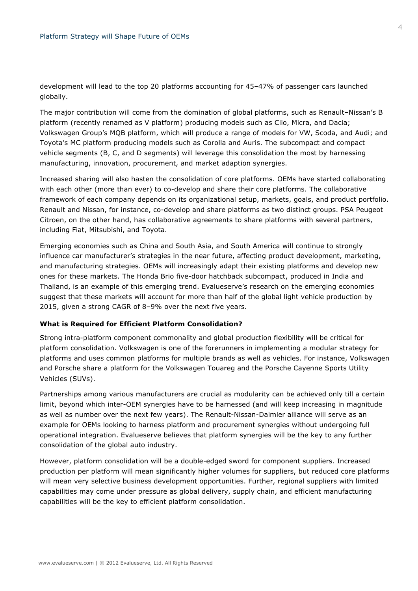development will lead to the top 20 platforms accounting for 45–47% of passenger cars launched globally.

The major contribution will come from the domination of global platforms, such as Renault–Nissan's B platform (recently renamed as V platform) producing models such as Clio, Micra, and Dacia; Volkswagen Group's MQB platform, which will produce a range of models for VW, Scoda, and Audi; and Toyota's MC platform producing models such as Corolla and Auris. The subcompact and compact vehicle segments (B, C, and D segments) will leverage this consolidation the most by harnessing manufacturing, innovation, procurement, and market adaption synergies.

Increased sharing will also hasten the consolidation of core platforms. OEMs have started collaborating with each other (more than ever) to co-develop and share their core platforms. The collaborative framework of each company depends on its organizational setup, markets, goals, and product portfolio. Renault and Nissan, for instance, co-develop and share platforms as two distinct groups. PSA Peugeot Citroen, on the other hand, has collaborative agreements to share platforms with several partners, including Fiat, Mitsubishi, and Toyota.

Emerging economies such as China and South Asia, and South America will continue to strongly influence car manufacturer's strategies in the near future, affecting product development, marketing, and manufacturing strategies. OEMs will increasingly adapt their existing platforms and develop new ones for these markets. The Honda Brio five-door hatchback subcompact, produced in India and Thailand, is an example of this emerging trend. Evalueserve's research on the emerging economies suggest that these markets will account for more than half of the global light vehicle production by 2015, given a strong CAGR of 8–9% over the next five years.

#### **What is Required for Efficient Platform Consolidation?**

Strong intra-platform component commonality and global production flexibility will be critical for platform consolidation. Volkswagen is one of the forerunners in implementing a modular strategy for platforms and uses common platforms for multiple brands as well as vehicles. For instance, Volkswagen and Porsche share a platform for the Volkswagen Touareg and the Porsche Cayenne Sports Utility Vehicles (SUVs).

Partnerships among various manufacturers are crucial as modularity can be achieved only till a certain limit, beyond which inter-OEM synergies have to be harnessed (and will keep increasing in magnitude as well as number over the next few years). The Renault-Nissan-Daimler alliance will serve as an example for OEMs looking to harness platform and procurement synergies without undergoing full operational integration. Evalueserve believes that platform synergies will be the key to any further consolidation of the global auto industry.

However, platform consolidation will be a double-edged sword for component suppliers. Increased production per platform will mean significantly higher volumes for suppliers, but reduced core platforms will mean very selective business development opportunities. Further, regional suppliers with limited capabilities may come under pressure as global delivery, supply chain, and efficient manufacturing capabilities will be the key to efficient platform consolidation.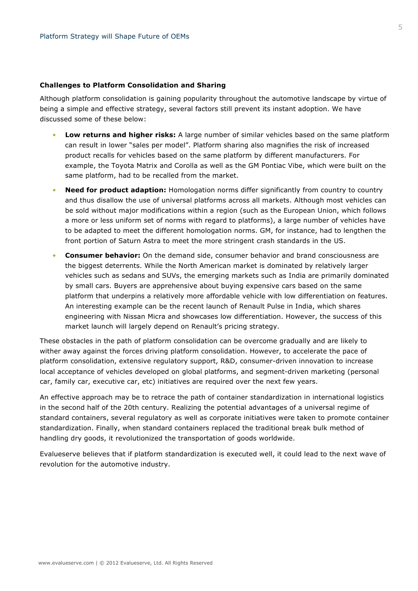#### **Challenges to Platform Consolidation and Sharing**

Although platform consolidation is gaining popularity throughout the automotive landscape by virtue of being a simple and effective strategy, several factors still prevent its instant adoption. We have discussed some of these below:

- **Low returns and higher risks:** A large number of similar vehicles based on the same platform can result in lower "sales per model". Platform sharing also magnifies the risk of increased product recalls for vehicles based on the same platform by different manufacturers. For example, the Toyota Matrix and Corolla as well as the GM Pontiac Vibe, which were built on the same platform, had to be recalled from the market.
- **Need for product adaption:** Homologation norms differ significantly from country to country and thus disallow the use of universal platforms across all markets. Although most vehicles can be sold without major modifications within a region (such as the European Union, which follows a more or less uniform set of norms with regard to platforms), a large number of vehicles have to be adapted to meet the different homologation norms. GM, for instance, had to lengthen the front portion of Saturn Astra to meet the more stringent crash standards in the US.
- **Consumer behavior:** On the demand side, consumer behavior and brand consciousness are the biggest deterrents. While the North American market is dominated by relatively larger vehicles such as sedans and SUVs, the emerging markets such as India are primarily dominated by small cars. Buyers are apprehensive about buying expensive cars based on the same platform that underpins a relatively more affordable vehicle with low differentiation on features. An interesting example can be the recent launch of Renault Pulse in India, which shares engineering with Nissan Micra and showcases low differentiation. However, the success of this market launch will largely depend on Renault's pricing strategy.

These obstacles in the path of platform consolidation can be overcome gradually and are likely to wither away against the forces driving platform consolidation. However, to accelerate the pace of platform consolidation, extensive regulatory support, R&D, consumer-driven innovation to increase local acceptance of vehicles developed on global platforms, and segment-driven marketing (personal car, family car, executive car, etc) initiatives are required over the next few years.

An effective approach may be to retrace the path of container standardization in international logistics in the second half of the 20th century. Realizing the potential advantages of a universal regime of standard containers, several regulatory as well as corporate initiatives were taken to promote container standardization. Finally, when standard containers replaced the traditional break bulk method of handling dry goods, it revolutionized the transportation of goods worldwide.

Evalueserve believes that if platform standardization is executed well, it could lead to the next wave of revolution for the automotive industry.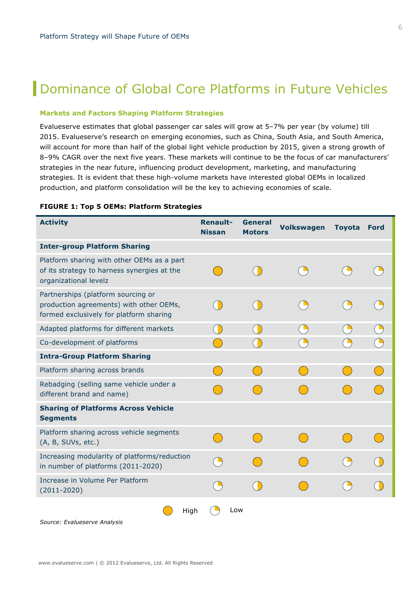## **Dominance of Global Core Platforms in Future Vehicles**

### **Markets and Factors Shaping Platform Strategies**

Evalueserve estimates that global passenger car sales will grow at 5–7% per year (by volume) till 2015. Evalueserve's research on emerging economies, such as China, South Asia, and South America, will account for more than half of the global light vehicle production by 2015, given a strong growth of 8–9% CAGR over the next five years. These markets will continue to be the focus of car manufacturers' strategies in the near future, influencing product development, marketing, and manufacturing strategies. It is evident that these high-volume markets have interested global OEMs in localized production, and platform consolidation will be the key to achieving economies of scale.

| <b>Activity</b>                                                                                                          | <b>Renault-</b><br><b>Nissan</b>                            | <b>General</b><br><b>Motors</b> | <b>Volkswagen</b> | <b>Toyota</b> | <b>Ford</b> |
|--------------------------------------------------------------------------------------------------------------------------|-------------------------------------------------------------|---------------------------------|-------------------|---------------|-------------|
| <b>Inter-group Platform Sharing</b>                                                                                      |                                                             |                                 |                   |               |             |
| Platform sharing with other OEMs as a part<br>of its strategy to harness synergies at the<br>organizational levelz       |                                                             |                                 |                   |               |             |
| Partnerships (platform sourcing or<br>production agreements) with other OEMs,<br>formed exclusively for platform sharing |                                                             |                                 |                   |               |             |
| Adapted platforms for different markets                                                                                  | $\begin{array}{c} \begin{array}{c} \end{array} \end{array}$ |                                 |                   |               |             |
| Co-development of platforms                                                                                              |                                                             |                                 |                   |               |             |
| <b>Intra-Group Platform Sharing</b>                                                                                      |                                                             |                                 |                   |               |             |
| Platform sharing across brands                                                                                           |                                                             |                                 |                   |               |             |
| Rebadging (selling same vehicle under a<br>different brand and name)                                                     |                                                             |                                 |                   |               |             |
| <b>Sharing of Platforms Across Vehicle</b><br><b>Segments</b>                                                            |                                                             |                                 |                   |               |             |
| Platform sharing across vehicle segments<br>(A, B, SUVs, etc.)                                                           |                                                             |                                 |                   |               |             |
| Increasing modularity of platforms/reduction<br>in number of platforms (2011-2020)                                       | $\sum_{i=1}^{n}$                                            |                                 |                   |               |             |
| Increase in Volume Per Platform<br>$(2011 - 2020)$                                                                       |                                                             |                                 |                   |               |             |
| High                                                                                                                     | Low                                                         |                                 |                   |               |             |

#### **FIGURE 1: Top 5 OEMs: Platform Strategies**

*Source: Evalueserve Analysis*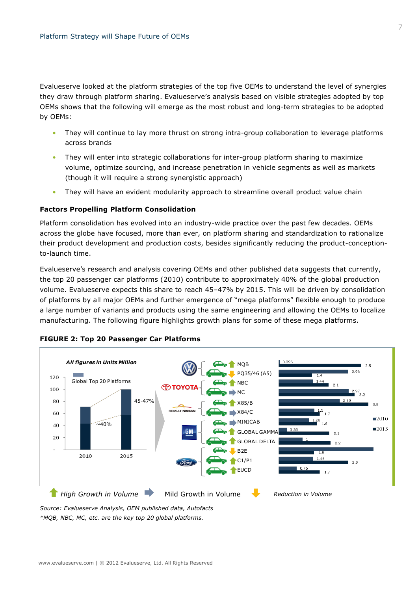Evalueserve looked at the platform strategies of the top five OEMs to understand the level of synergies they draw through platform sharing. Evalueserve's analysis based on visible strategies adopted by top OEMs shows that the following will emerge as the most robust and long-term strategies to be adopted by OEMs:

- They will continue to lay more thrust on strong intra-group collaboration to leverage platforms across brands
- They will enter into strategic collaborations for inter-group platform sharing to maximize volume, optimize sourcing, and increase penetration in vehicle segments as well as markets (though it will require a strong synergistic approach)
- They will have an evident modularity approach to streamline overall product value chain

#### **Factors Propelling Platform Consolidation**

Platform consolidation has evolved into an industry-wide practice over the past few decades. OEMs across the globe have focused, more than ever, on platform sharing and standardization to rationalize their product development and production costs, besides significantly reducing the product-conceptionto-launch time.

Evalueserve's research and analysis covering OEMs and other published data suggests that currently, the top 20 passenger car platforms (2010) contribute to approximately 40% of the global production volume. Evalueserve expects this share to reach 45–47% by 2015. This will be driven by consolidation of platforms by all major OEMs and further emergence of "mega platforms" flexible enough to produce a large number of variants and products using the same engineering and allowing the OEMs to localize manufacturing. The following figure highlights growth plans for some of these mega platforms.



#### **FIGURE 2: Top 20 Passenger Car Platforms**

*\*MQB, NBC, MC, etc. are the key top 20 global platforms.*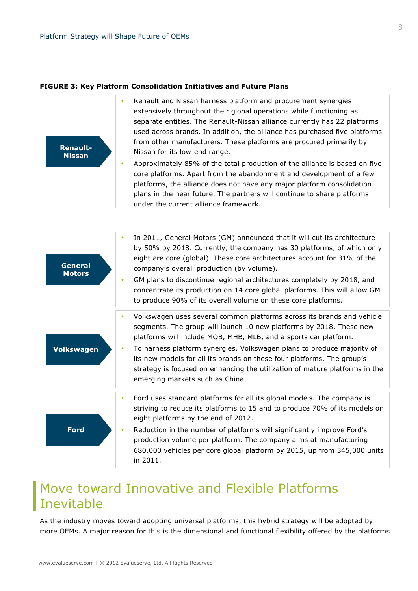### **FIGURE 3: Key Platform Consolidation Initiatives and Future Plans**



- Renault and Nissan harness platform and procurement synergies extensively throughout their global operations while functioning as separate entities. The Renault-Nissan alliance currently has 22 platforms used across brands. In addition, the alliance has purchased five platforms from other manufacturers. These platforms are procured primarily by Nissan for its low-end range.
- Approximately 85% of the total production of the alliance is based on five core platforms. Apart from the abandonment and development of a few platforms, the alliance does not have any major platform consolidation plans in the near future. The partners will continue to share platforms under the current alliance framework.

| <b>General</b><br><b>Motors</b> | In 2011, General Motors (GM) announced that it will cut its architecture<br>by 50% by 2018. Currently, the company has 30 platforms, of which only<br>eight are core (global). These core architectures account for 31% of the<br>company's overall production (by volume).<br>GM plans to discontinue regional architectures completely by 2018, and<br>۰<br>concentrate its production on 14 core global platforms. This will allow GM<br>to produce 90% of its overall volume on these core platforms. |
|---------------------------------|-----------------------------------------------------------------------------------------------------------------------------------------------------------------------------------------------------------------------------------------------------------------------------------------------------------------------------------------------------------------------------------------------------------------------------------------------------------------------------------------------------------|
|                                 | Volkswagen uses several common platforms across its brands and vehicle<br>segments. The group will launch 10 new platforms by 2018. These new<br>platforms will include MQB, MHB, MLB, and a sports car platform.                                                                                                                                                                                                                                                                                         |
| <b>Volkswagen</b>               | To harness platform synergies, Volkswagen plans to produce majority of<br>۰<br>its new models for all its brands on these four platforms. The group's<br>strategy is focused on enhancing the utilization of mature platforms in the<br>emerging markets such as China.                                                                                                                                                                                                                                   |
|                                 | Ford uses standard platforms for all its global models. The company is<br>striving to reduce its platforms to 15 and to produce 70% of its models on<br>eight platforms by the end of 2012.                                                                                                                                                                                                                                                                                                               |
| <b>Ford</b>                     | Reduction in the number of platforms will significantly improve Ford's<br>production volume per platform. The company aims at manufacturing<br>680,000 vehicles per core global platform by 2015, up from 345,000 units<br>in 2011.                                                                                                                                                                                                                                                                       |

### Move toward Innovative and Flexible Platforms Inevitable

As the industry moves toward adopting universal platforms, this hybrid strategy will be adopted by more OEMs. A major reason for this is the dimensional and functional flexibility offered by the platforms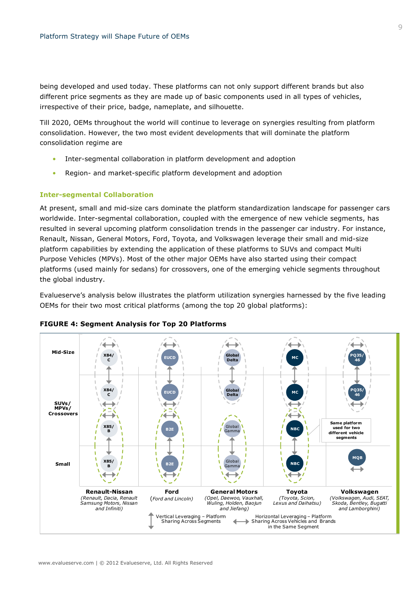being developed and used today. These platforms can not only support different brands but also different price segments as they are made up of basic components used in all types of vehicles, irrespective of their price, badge, nameplate, and silhouette.

Till 2020, OEMs throughout the world will continue to leverage on synergies resulting from platform consolidation. However, the two most evident developments that will dominate the platform consolidation regime are

- Inter-segmental collaboration in platform development and adoption
- Region- and market-specific platform development and adoption

### **Inter-segmental Collaboration**

At present, small and mid-size cars dominate the platform standardization landscape for passenger cars worldwide. Inter-segmental collaboration, coupled with the emergence of new vehicle segments, has resulted in several upcoming platform consolidation trends in the passenger car industry. For instance, Renault, Nissan, General Motors, Ford, Toyota, and Volkswagen leverage their small and mid-size platform capabilities by extending the application of these platforms to SUVs and compact Multi Purpose Vehicles (MPVs). Most of the other major OEMs have also started using their compact platforms (used mainly for sedans) for crossovers, one of the emerging vehicle segments throughout the global industry.

Evalueserve's analysis below illustrates the platform utilization synergies harnessed by the five leading OEMs for their two most critical platforms (among the top 20 global platforms):



### **FIGURE 4: Segment Analysis for Top 20 Platforms**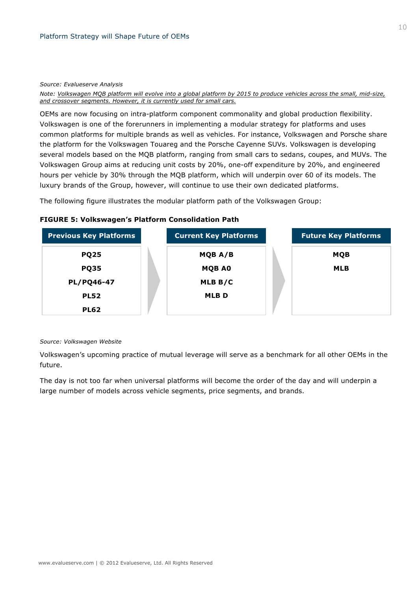#### *Source: Evalueserve Analysis*

*Note: Volkswagen MQB platform will evolve into a global platform by 2015 to produce vehicles across the small, mid-size, and crossover segments. However, it is currently used for small cars.*

OEMs are now focusing on intra-platform component commonality and global production flexibility. Volkswagen is one of the forerunners in implementing a modular strategy for platforms and uses common platforms for multiple brands as well as vehicles. For instance, Volkswagen and Porsche share the platform for the Volkswagen Touareg and the Porsche Cayenne SUVs. Volkswagen is developing several models based on the MQB platform, ranging from small cars to sedans, coupes, and MUVs. The Volkswagen Group aims at reducing unit costs by 20%, one-off expenditure by 20%, and engineered hours per vehicle by 30% through the MOB platform, which will underpin over 60 of its models. The luxury brands of the Group, however, will continue to use their own dedicated platforms.

The following figure illustrates the modular platform path of the Volkswagen Group:

### **FIGURE 5: Volkswagen's Platform Consolidation Path**



#### *Source: Volkswagen Website*

Volkswagen's upcoming practice of mutual leverage will serve as a benchmark for all other OEMs in the future.

The day is not too far when universal platforms will become the order of the day and will underpin a large number of models across vehicle segments, price segments, and brands.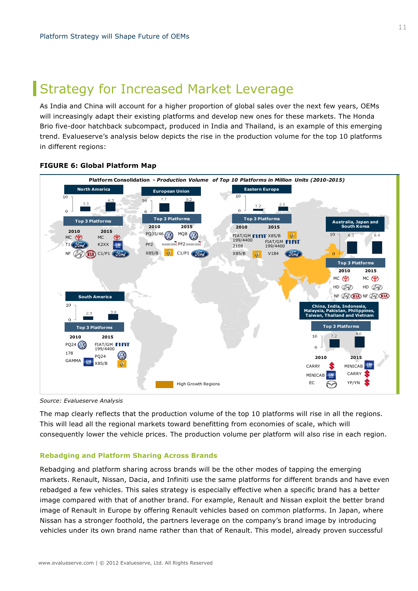### Strategy for Increased Market Leverage

As India and China will account for a higher proportion of global sales over the next few years, OEMs will increasingly adapt their existing platforms and develop new ones for these markets. The Honda Brio five-door hatchback subcompact, produced in India and Thailand, is an example of this emerging trend. Evalueserve's analysis below depicts the rise in the production volume for the top 10 platforms in different regions:



### **FIGURE 6: Global Platform Map**

*Source: Evalueserve Analysis* 

The map clearly reflects that the production volume of the top 10 platforms will rise in all the regions. This will lead all the regional markets toward benefitting from economies of scale, which will consequently lower the vehicle prices. The production volume per platform will also rise in each region.

### **Rebadging and Platform Sharing Across Brands**

Rebadging and platform sharing across brands will be the other modes of tapping the emerging markets. Renault, Nissan, Dacia, and Infiniti use the same platforms for different brands and have even rebadged a few vehicles. This sales strategy is especially effective when a specific brand has a better image compared with that of another brand. For example, Renault and Nissan exploit the better brand image of Renault in Europe by offering Renault vehicles based on common platforms. In Japan, where Nissan has a stronger foothold, the partners leverage on the company's brand image by introducing vehicles under its own brand name rather than that of Renault. This model, already proven successful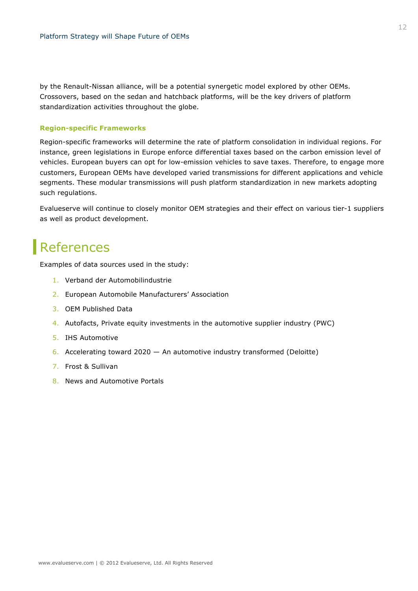by the Renault-Nissan alliance, will be a potential synergetic model explored by other OEMs. Crossovers, based on the sedan and hatchback platforms, will be the key drivers of platform standardization activities throughout the globe.

### **Region-specific Frameworks**

Region-specific frameworks will determine the rate of platform consolidation in individual regions. For instance, green legislations in Europe enforce differential taxes based on the carbon emission level of vehicles. European buyers can opt for low-emission vehicles to save taxes. Therefore, to engage more customers, European OEMs have developed varied transmissions for different applications and vehicle segments. These modular transmissions will push platform standardization in new markets adopting such regulations.

Evalueserve will continue to closely monitor OEM strategies and their effect on various tier-1 suppliers as well as product development.

# **References**

Examples of data sources used in the study:

- 1. Verband der Automobilindustrie
- 2. European Automobile Manufacturers' Association
- 3. OEM Published Data
- 4. Autofacts, Private equity investments in the automotive supplier industry (PWC)
- 5. IHS Automotive
- 6. Accelerating toward 2020 An automotive industry transformed (Deloitte)
- 7. Frost & Sullivan
- 8. News and Automotive Portals